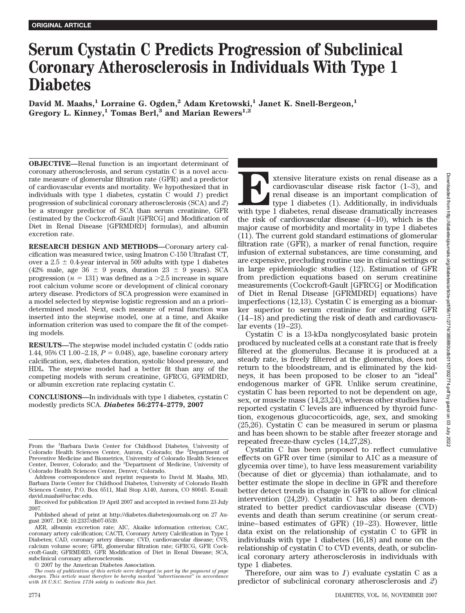# **Serum Cystatin C Predicts Progression of Subclinical Coronary Atherosclerosis in Individuals With Type 1 Diabetes**

 $\sigma$ David M. Maahs, $^1$  Lorraine G. Ogden, $^2$  Adam Kretowski, $^1$  Janet K. Snell-Bergeon, $^1$ **Gregory L. Kinney,1 Tomas Berl,3 and Marian Rewers1,2**

**OBJECTIVE—**Renal function is an important determinant of coronary atherosclerosis, and serum cystatin C is a novel accurate measure of glomerular filtration rate (GFR) and a predictor of cardiovascular events and mortality. We hypothesized that in individuals with type 1 diabetes, cystatin C would *1*) predict progression of subclinical coronary atherosclerosis (SCA) and *2*) be a stronger predictor of SCA than serum creatinine, GFR (estimated by the Cockcroft-Gault [GFRCG] and Modification of Diet in Renal Disease [GFRMDRD] formulas), and albumin excretion rate.

**RESEARCH DESIGN AND METHODS—**Coronary artery calcification was measured twice, using Imatron C-150 Ultrafast CT, over a  $2.5 \pm 0.4$ -year interval in 509 adults with type 1 diabetes (42% male, age 36  $\pm$  9 years, duration 23  $\pm$  9 years). SCA progression  $(n = 131)$  was defined as a  $>2.5$  increase in square root calcium volume score or development of clinical coronary artery disease. Predictors of SCA progression were examined in a model selected by stepwise logistic regression and an a priori– determined model. Next, each measure of renal function was inserted into the stepwise model, one at a time, and Akaike information criterion was used to compare the fit of the competing models.

**RESULTS—**The stepwise model included cystatin C (odds ratio 1.44,  $95\%$  CI 1.00 $-2.18$ ,  $P = 0.048$ ), age, baseline coronary artery calcification, sex, diabetes duration, systolic blood pressure, and HDL. The stepwise model had a better fit than any of the competing models with serum creatinine, GFRCG, GFRMDRD, or albumin excretion rate replacing cystatin C.

**CONCLUSIONS—**In individuals with type 1 diabetes, cystatin C modestly predicts SCA. *Diabetes* **56:2774–2779, 2007**

**Extensive literature exists on renal disease as a** cardiovascular disease risk factor (1–3), and renal disease is an important complication of type 1 diabetes (1). Additionally, in individuals with type 1 diabetes, renal cardiovascular disease risk factor (1–3), and renal disease is an important complication of type 1 diabetes (1). Additionally, in individuals the risk of cardiovascular disease  $(4-10)$ , which is the major cause of morbidity and mortality in type 1 diabetes (11). The current gold standard estimations of glomerular filtration rate (GFR), a marker of renal function, require infusion of external substances, are time consuming, and are expensive, precluding routine use in clinical settings or in large epidemiologic studies (12). Estimation of GFR from prediction equations based on serum creatinine measurements (Cockcroft-Gault [GFRCG] or Modification of Diet in Renal Disease [GFRMDRD] equations) have imperfections (12,13). Cystatin C is emerging as a biomarker superior to serum creatinine for estimating GFR (14 –18) and predicting the risk of death and cardiovascular events  $(19–23)$ .

Cystatin C is a 13-kDa nonglycosylated basic protein produced by nucleated cells at a constant rate that is freely filtered at the glomerulus. Because it is produced at a steady rate, is freely filtered at the glomerulus, does not return to the bloodstream, and is eliminated by the kidneys, it has been proposed to be closer to an "ideal" endogenous marker of GFR. Unlike serum creatinine, cystatin C has been reported to not be dependent on age, sex, or muscle mass (14,23,24), whereas other studies have reported cystatin C levels are influenced by thyroid function, exogenous glucocorticoids, age, sex, and smoking (25,26). Cystatin C can be measured in serum or plasma and has been shown to be stable after freezer storage and repeated freeze-thaw cycles (14,27,28).

Cystatin C has been proposed to reflect cumulative effects on GFR over time (similar to A1C as a measure of glycemia over time), to have less measurement variability (because of diet or glycemia) than iothalamate, and to better estimate the slope in decline in GFR and therefore better detect trends in change in GFR to allow for clinical intervention (24,29). Cystatin C has also been demonstrated to better predict cardiovascular disease (CVD) events and death than serum creatinine (or serum creatinine– based estimates of GFR) (19 –23). However, little data exist on the relationship of cystatin C to GFR in individuals with type 1 diabetes (16,18) and none on the relationship of cystatin C to CVD events, death, or subclinical coronary artery atherosclerosis in individuals with type 1 diabetes.

Therefore, our aim was to *1*) evaluate cystatin C as a predictor of subclinical coronary atherosclerosis and *2*)

From the <sup>1</sup>Barbara Davis Center for Childhood Diabetes, University of Colorado Health Sciences Center, Aurora, Colorado; the <sup>2</sup>Department of Preventive Medicine and Biometrics, University of Colorado Health Sciences<br>Center, Denver, Colorado; and the <sup>3</sup>Department of Medicine, University of Colorado Health Sciences Center, Denver, Colorado.

Address correspondence and reprint requests to David M. Maahs, MD, Barbara Davis Center for Childhood Diabetes, University of Colorado Health Sciences Center, P.O. Box 6511, Mail Stop A140, Aurora, CO 80045. E-mail: david.maahs@uchsc.edu.

Received for publication 19 April 2007 and accepted in revised form 23 July 2007.

Published ahead of print at http://diabetes.diabetesjournals.org on 27 August 2007. DOI: 10.2337/db07-0539.

AER, albumin excretion rate; AIC, Akaike information criterion; CAC, coronary artery calcification; CACTI, Coronary Artery Calcification in Type 1 Diabetes; CAD, coronary artery disease; CVD, cardiovascular disease; CVS, calcium volume score; GFR, glomerular filtration rate; GFRCG, GFR Cockcroft-Gault; GFRMDRD, GFR Modification of Diet in Renal Disease; SCA, subclinical coronary atherosclerosis.

<sup>© 2007</sup> by the American Diabetes Association.

*The costs of publication of this article were defrayed in part by the payment of page charges. This article must therefore be hereby marked "advertisement" in accordance with 18 U.S.C. Section 1734 solely to indicate this fact.*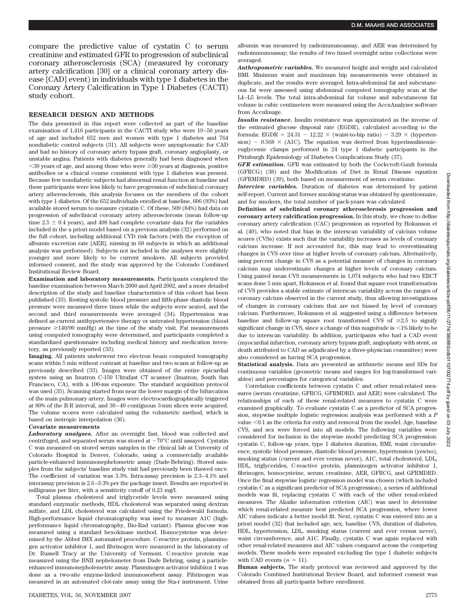compare the predictive value of cystatin C to serum creatinine and estimated GFR to progression of subclinical coronary atherosclerosis (SCA) (measured by coronary artery calcification [30] or a clinical coronary artery disease [CAD] event) in individuals with type 1 diabetes in the Coronary Artery Calcification in Type 1 Diabetes (CACTI) study cohort.

## **RESEARCH DESIGN AND METHODS**

The data presented in this report were collected as part of the baseline examination of 1,416 participants in the CACTI study who were 19 –56 years of age and included 652 men and women with type 1 diabetes and 764 nondiabetic control subjects (31). All subjects were asymptomatic for CAD and had no history of coronary artery bypass graft, coronary angioplasty, or unstable angina. Patients with diabetes generally had been diagnosed when  $\leq$ 30 years of age, and among those who were  $\geq$ 30 years at diagnosis, positive antibodies or a clinical course consistent with type 1 diabetes was present. Because few nondiabetic subjects had abnormal renal function at baseline and these participants were less likely to have progression of subclinical coronary artery atherosclerosis, this analysis focuses on the members of the cohort with type 1 diabetes. Of the 652 individuals enrolled at baseline, 606 (93%) had available stored serum to measure cystatin C. Of these, 509 (84%) had data on progression of subclinical coronary artery atherosclerosis (mean follow-up time 2.5  $\pm$  0.4 years), and 498 had complete covariate data for the variables included in the a priori model based on a previous analysis (32) performed on the full cohort, including additional CVD risk factors (with the exception of albumin excretion rate [AER], missing in 68 subjects in which an additional analysis was performed). Subjects not included in the analyses were slightly younger and more likely to be current smokers. All subjects provided informed consent, and the study was approved by the Colorado Combined Institutional Review Board.

**Examination and laboratory measurements.** Participants completed the baseline examination between March 2000 and April 2002, and a more detailed description of the study and baseline characteristics of this cohort has been published (33). Resting systolic blood pressure and fifth-phase diastolic blood pressure were measured three times while the subjects were seated, and the second and third measurements were averaged (34). Hypertension was defined as current antihypertensive therapy or untreated hypertension (blood pressure  $\geq$ 140/90 mmHg) at the time of the study visit. Fat measurements using computed tomography were determined, and participants completed a standardized questionnaire including medical history and medication inventory, as previously reported (33).

**Imaging.** All patients underwent two electron beam computed tomography scans within 5 min without contrast at baseline and two scans at follow-up as previously described (33). Images were obtained of the entire epicardial system using an Imatron C-150 Ultrafast CT scanner (Imatron, South San Francisco, CA), with a 100-ms exposure. The standard acquisition protocol was used (35). Scanning started from near the lower margin of the bifurcation of the main pulmonary artery. Images were electrocardiographically triggered at 80% of the R-R interval, and 30 – 40 contiguous 3-mm slices were acquired. The volume scores were calculated using the volumetric method, which is based on isotropic interpolation (36).

#### **Covariate measurements**

*Laboratory analyses.* After an overnight fast, blood was collected and centrifuged, and separated serum was stored at  $-70^{\circ}$ C until assayed. Cystatin C was measured on stored serum samples in the clinical lab at University of Colorado Hospital in Denver, Colorado, using a commercially available particle-enhanced immunonephelometric assay (Dade-Behring). Stored samples from the subjects' baseline study visit had previously been thawed once. The coefficient of variation was 3.3%. Intra-assay precision is 2.3– 4.1% and interassay precision is 2.6 –3.3% per the package insert. Results are reported in milligrams per liter, with a sensitivity cutoff of 0.23 mg/l.

Total plasma cholesterol and triglyceride levels were measured using standard enzymatic methods, HDL cholesterol was separated using dextran sulfate, and LDL cholesterol was calculated using the Friedewald formula. High-performance liquid chromatography was used to measure A1C (highperformance liquid chromatography, Bio-Rad variant). Plasma glucose was measured using a standard hexokinase method. Homocysteine was determined by the Abbot IMX automated procedure. C-reactive protein, plasminogen activator inhibitor 1, and fibrinogen were measured in the laboratory of Dr. Russell Tracy at the University of Vermont. C-reactive protein was measured using the BNII nephelometer from Dade Behring, using a particleenhanced immunonepholemetric assay. Plasminogen activator inhibitor 1 was done as a two-site enzyme-linked immunosorbent assay. Fibrinogen was measured in an automated clot-rate assay using the Sta-r instrument. Urine

albumin was measured by radioimmunoassay, and AER was determined by radioimmunoassay; the results of two timed overnight urine collections were averaged.

*Anthropometric variables.* We measured height and weight and calculated BMI. Minimum waist and maximum hip measurements were obtained in duplicate, and the results were averaged. Intra-abdominal fat and subcutaneous fat were assessed using abdominal computed tomography scan at the L4 –L5 levels. The total intra-abdominal fat volume and subcutaneous fat volume in cubic centimeters were measured using the AccuAnalyzer software from AccuImage.

*Insulin resistance.* Insulin resistance was approximated as the inverse of the estimated glucose disposal rate (EGDR), calculated according to the formula:  $EGDR = 24.31 - 12.22 \times (waist-to-hip ratio) - 3.29 \times (hyperten$ sion) - 0.568  $\times$  (A1C). The equation was derived from hyperinsulinemiceuglycemic clamps performed in 24 type 1 diabetic participants in the Pittsburgh Epidemiology of Diabetes Complications Study (37).

*GFR estimation.* GFR was estimated by both the Cockcroft-Gault formula (GFRCG) (38) and the Modification of Diet in Renal Disease equation (GFRMDRD) (39), both based on measurement of serum creatinine.

*Interview variables.* Duration of diabetes was determined by patient self-report. Current and former smoking status was obtained by questionnaire, and for smokers, the total number of pack-years was calculated.

**Definition of subclinical coronary atherosclerosis progression and coronary artery calcification progression.** In this study, we chose to define coronary artery calcification (CAC) progression as reported by Hokanson et al. (40), who noted that bias in the interscan variability of calcium volume scores (CVSs) exists such that the variability increases as levels of coronary calcium increase. If not accounted for, this may lead to overestimating changes in CVS over time at higher levels of coronary calcium. Alternatively, using percent change in CVS as a potential measure of changes in coronary calcium may underestimate changes at higher levels of coronary calcium. Using paired mean CVS measurements in 1,074 subjects who had two EBCT scans done 5 min apart, Hokanson et al. found that square root transformation of CVS provides a stable estimate of interscan variability across the ranges of coronary calcium observed in the current study, thus allowing investigations of changes in coronary calcium that are not biased by level of coronary calcium. Furthermore, Hokanson et al. suggested using a difference between baseline and follow-up square root transformed CVS of  $\geq 2.5$  to signify significant change in CVS, since a change of this magnitude is  $< 1\%$  likely to be due to interscan variability. In addition, participants who had a CAD event (myocardial infarction, coronary artery bypass graft, angioplasty with stent, or death attributed to CAD as adjudicated by a three-physician committee) were also considered as having SCA progression.

**Statistical analysis.** Data are presented as arithmetic means and SDs for continuous variables (geometric means and ranges for log-transformed variables) and percentages for categorical variables.

Correlation coefficients between cystatin C and other renal-related measures (serum creatinine, GFRCG, GFRMDRD, and AER) were calculated. The relationships of each of these renal-related measures to cystatin C were examined graphically. To evaluate cystatin C as a predictor of SCA progression, stepwise multiple logistic regression analysis was performed with a *P* value  $< 0.1$  as the criteria for entry and removal from the model. Age, baseline CVS, and sex were forced into all models. The following variables were considered for inclusion in the stepwise model predicting SCA progression: cystatin C, follow-up years, type 1 diabetes duration, BMI, waist circumference, systolic blood pressure, diastolic blood pressure, hypertension (yes/no), smoking status (current and ever versus never), A1C, total cholesterol, LDL, HDL, triglycerides, C-reactive protein, plasminogen activator inhibitor 1, fibrinogen, homocysteine, serum creatinine, AER, GFRCG, and GFRMDRD. Once the final stepwise logistic regression model was chosen (which included cystatin C as a significant predictor of SCA progression), a series of additional models was fit, replacing cystatin C with each of the other renal-related measures. The Akaike information criterion (AIC) was used to determine which renal-related measure best predicted SCA progression, where lower AIC values indicate a better model fit. Next, cystatin C was entered into an a priori model (32) that included age, sex, baseline CVS, duration of diabetes, HDL, hypertension, LDL, smoking status (current and ever versus never), waist circumference, and A1C. Finally, cystatin C was again replaced with other renal-related measures and AIC values compared across the competing models. These models were repeated excluding the type 1 diabetic subjects with CAD events  $(n = 11)$ .

**Human subjects.** The study protocol was reviewed and approved by the Colorado Combined Institutional Review Board, and informed consent was obtained from all participants before enrollment.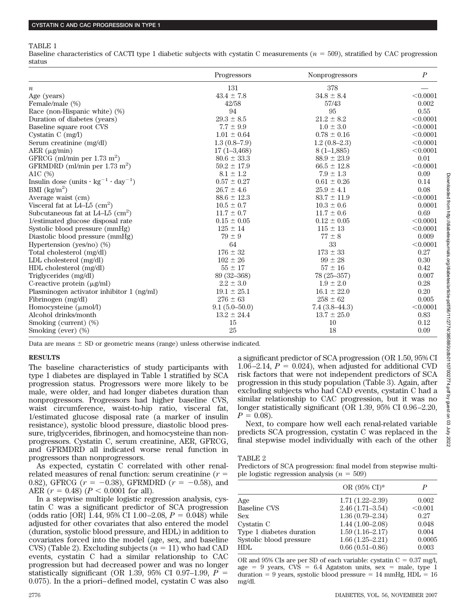#### TABLE 1

Baseline characteristics of CACTI type 1 diabetic subjects with cystatin C measurements  $(n = 509)$ , stratified by CAC progression status

|                                                                          | Progressors     | <b>Nonprogressors</b> | $\boldsymbol{P}$ |
|--------------------------------------------------------------------------|-----------------|-----------------------|------------------|
| $\it n$                                                                  | 131             | 378                   |                  |
| Age (years)                                                              | $43.4 \pm 7.8$  | $34.8 \pm 8.4$        | < 0.0001         |
| Female/male (%)                                                          | 42/58           | 57/43                 | 0.002            |
| Race (non-Hispanic white) (%)                                            | 94              | 95                    | 0.55             |
| Duration of diabetes (years)                                             | $29.3 \pm 8.5$  | $21.2 \pm 8.2$        | < 0.0001         |
| Baseline square root CVS                                                 | $7.7 \pm 9.9$   | $1.0 \pm 3.0$         | < 0.0001         |
| Cystatin C $(mg/l)$                                                      | $1.01 \pm 0.64$ | $0.78 \pm 0.16$       | < 0.0001         |
| Serum creatinine (mg/dl)                                                 | $1.3(0.8-7.9)$  | $1.2(0.8-2.3)$        | < 0.0001         |
| $AER (\mu g/min)$                                                        | $17(1 - 3,468)$ | $8(1-1,885)$          | < 0.0001         |
| GFRCG (ml/min per $1.73$ m <sup>2</sup> )                                | $80.6 \pm 33.3$ | $88.9 \pm 23.9$       | 0.01             |
| GFRMDRD (ml/min per $1.73$ m <sup>2</sup> )                              | $59.2 \pm 17.9$ | $66.5 \pm 12.8$       | < 0.0001         |
| A1C (%)                                                                  | $8.1 \pm 1.2$   | $7.9 \pm 1.3$         | 0.09             |
| Insulin dose $(\text{units} \cdot \text{kg}^{-1} \cdot \text{day}^{-1})$ | $0.57 \pm 0.27$ | $0.61 \pm 0.26$       | 0.14             |
| BMI $(kg/m^2)$                                                           | $26.7 \pm 4.6$  | $25.9 \pm 4.1$        | 0.08             |
| Average waist (cm)                                                       | $88.6 \pm 12.3$ | $83.7 \pm 11.9$       | < 0.0001         |
| Visceral fat at $L4-L5$ (cm <sup>2</sup> )                               | $10.5 \pm 0.7$  | $10.3 \pm 0.6$        | 0.0001           |
| Subcutaneous fat at $L4-L5$ (cm <sup>2</sup> )                           | $11.7 \pm 0.7$  | $11.7 \pm 0.6$        | 0.69             |
| 1/estimated glucose disposal rate                                        | $0.15 \pm 0.05$ | $0.12 \pm 0.05$       | < 0.0001         |
| Systolic blood pressure (mmHg)                                           | $125 \pm 14$    | $115 \pm 13$          | < 0.0001         |
| Diastolic blood pressure (mmHg)                                          | $79 \pm 9$      | $77 \pm 8$            | 0.009            |
| Hypertension (yes/no) $(\%)$                                             | 64              | 33                    | < 0.0001         |
| Total cholesterol (mg/dl)                                                | $176 \pm 32$    | $173 \pm 33$          | 0.27             |
| LDL cholesterol $(mg/dl)$                                                | $102 \pm 26$    | $99 \pm 28$           | 0.30             |
| HDL cholesterol (mg/dl)                                                  | $55 \pm 17$     | $57 \pm 16$           | 0.42             |
| Triglycerides (mg/dl)                                                    | 89 (32-368)     | $78(25 - 357)$        | 0.007            |
| C-reactive protein $(\mu g/ml)$                                          | $2.2 \pm 3.0$   | $1.9\,\pm\,2.0$       | 0.28             |
| Plasminogen activator inhibitor 1 (ng/ml)                                | $19.1 \pm 25.1$ | $16.1 \pm 22.0$       | 0.20             |
| Fibrinogen (mg/dl)                                                       | $276 \pm 63$    | $258 \pm 62$          | 0.005            |
| Homocysteine $(\mu$ mol/l)                                               | $9.1(5.0-50.0)$ | $7.4(3.8-44.3)$       | < 0.0001         |
| Alcohol drinks/month                                                     | $13.2 \pm 24.4$ | $13.7 \pm 25.0$       | 0.83             |
| Smoking (current) (%)                                                    | 15              | 10                    | 0.12             |
| Smoking (ever) (%)                                                       | 25              | 18                    | 0.09             |

Data are means  $\pm$  SD or geometric means (range) unless otherwise indicated.

#### **RESULTS**

The baseline characteristics of study participants with type 1 diabetes are displayed in Table 1 stratified by SCA progression status. Progressors were more likely to be male, were older, and had longer diabetes duration than nonprogressors. Progressors had higher baseline CVS, waist circumference, waist-to-hip ratio, visceral fat, 1/estimated glucose disposal rate (a marker of insulin resistance), systolic blood pressure, diastolic blood pressure, triglycerides, fibrinogen, and homocysteine than nonprogressors. Cystatin C, serum creatinine, AER, GFRCG, and GFRMDRD all indicated worse renal function in progressors than nonprogressors.

As expected, cystatin C correlated with other renalrelated measures of renal function: serum creatinine  $(r =$ 0.82), GFRCG  $(r = -0.38)$ , GFRMDRD  $(r = -0.58)$ , and AER  $(r = 0.48)$   $(P < 0.0001$  for all).

In a stepwise multiple logistic regression analysis, cystatin C was a significant predictor of SCA progression (odds ratio [OR] 1.44, 95% CI 1.00–2.08,  $P = 0.048$ ) while adjusted for other covariates that also entered the model (duration, systolic blood pressure, and HDL) in addition to covariates forced into the model (age, sex, and baseline  $CVS$ ) (Table 2). Excluding subjects  $(n = 11)$  who had CAD events, cystatin C had a similar relationship to CAC progression but had decreased power and was no longer statistically significant (OR 1.39,  $95\%$  CI 0.97–1.99,  $P =$ 0.075). In the a priori– defined model, cystatin C was also a significant predictor of SCA progression (OR 1.50, 95% CI 1.06–2.14,  $P = 0.024$ ), when adjusted for additional CVD risk factors that were not independent predictors of SCA progression in this study population (Table 3). Again, after excluding subjects who had CAD events, cystatin C had a similar relationship to CAC progression, but it was no longer statistically significant (OR 1.39, 95% CI 0.96 –2.20,  $P = 0.08$ ).

Next, to compare how well each renal-related variable predicts SCA progression, cystatin C was replaced in the final stepwise model individually with each of the other

# TABLE 2

Predictors of SCA progression: final model from stepwise multiple logistic regression analysis  $(n = 509)$ 

|                          | OR $(95\% \text{ CI})^*$ | P       |
|--------------------------|--------------------------|---------|
| Age                      | $1.71(1.22 - 2.39)$      | 0.002   |
| <b>Baseline CVS</b>      | $2.46(1.71 - 3.54)$      | < 0.001 |
| <b>Sex</b>               | $1.36(0.79 - 2.34)$      | 0.27    |
| Cystatin C               | $1.44(1.00-2.08)$        | 0.048   |
| Type 1 diabetes duration | $1.59(1.16 - 2.17)$      | 0.004   |
| Systolic blood pressure  | $1.66(1.25 - 2.21)$      | 0.0005  |
| <b>HDL</b>               | $0.66(0.51-0.86)$        | 0.003   |
|                          |                          |         |

OR and  $95\%$  CIs are per SD of each variable: cystatin C = 0.37 mg/l,  $age = 9 \text{ years}, \text{CVS} = 6.4 \text{ Agatston units}, \text{sex} = \text{male}, \text{ type } 1$  $duration = 9 \text{ years}, \text{systolic blood pressure} = 14 \text{ mmHg}, \text{HDL} = 16$ mg/dl.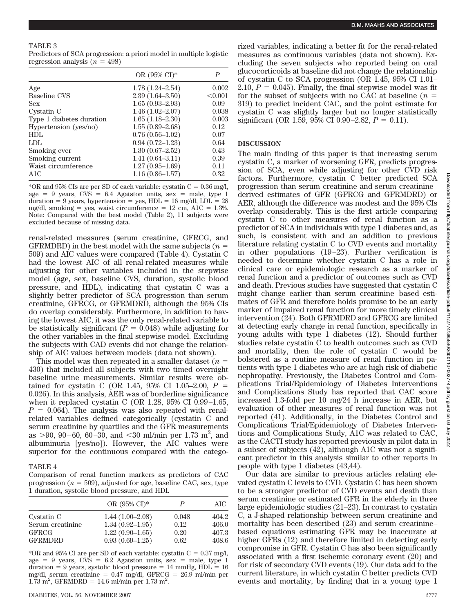### TABLE 3

Predictors of SCA progression: a priori model in multiple logistic regression analysis  $(n = 498)$ 

|                          | OR $(95\% \text{ CI})^*$ | P       |
|--------------------------|--------------------------|---------|
| Age                      | $1.78(1.24 - 2.54)$      | 0.002   |
| Baseline CVS             | $2.39(1.64 - 3.50)$      | < 0.001 |
| <b>Sex</b>               | $1.65(0.93 - 2.93)$      | 0.09    |
| Cystatin C               | $1.46(1.02 - 2.07)$      | 0.038   |
| Type 1 diabetes duration | $1.65(1.18-2.30)$        | 0.003   |
| Hypertension (yes/no)    | $1.55(0.89 - 2.68)$      | 0.12    |
| HDL                      | $0.76(0.56 - 1.02)$      | 0.07    |
| LDL                      | $0.94(0.72 - 1.23)$      | 0.64    |
| Smoking ever             | $1.30(0.67-2.52)$        | 0.43    |
| Smoking current          | $1.41(0.64 - 3.11)$      | 0.39    |
| Waist circumference      | $1.27(0.95 - 1.69)$      | 0.11    |
| A1C                      | $1.16(0.86 - 1.57)$      | 0.32    |

 $^*$ OR and 95% CIs are per SD of each variable: cystatin C = 0.36 mg/l,  $age = 9 \text{ years}, \text{CVS} = 6.4 \text{ Agatston units}, \text{sex} = \text{male}, \text{ type } 1$ duration = 9 years, hypertension = yes,  $HDL = 16$  mg/dl,  $LDL = 28$ mg/dl, smoking = yes, waist circumference =  $12 \text{ cm}$ ,  $A1C = 1.3\%$ . Note: Compared with the best model (Table 2), 11 subjects were excluded because of missing data.

renal-related measures (serum creatinine, GFRCG, and GFRMDRD) in the best model with the same subjects  $(n =$ 509) and AIC values were compared (Table 4). Cystatin C had the lowest AIC of all renal-related measures while adjusting for other variables included in the stepwise model (age, sex, baseline CVS, duration, systolic blood pressure, and HDL), indicating that cystatin C was a slightly better predictor of SCA progression than serum creatinine, GFRCG, or GFRMDRD, although the 95% CIs do overlap considerably. Furthermore, in addition to having the lowest AIC, it was the only renal-related variable to be statistically significant  $(P = 0.048)$  while adjusting for the other variables in the final stepwise model. Excluding the subjects with CAD events did not change the relationship of AIC values between models (data not shown).

This model was then repeated in a smaller dataset  $(n =$ 430) that included all subjects with two timed overnight baseline urine measurements. Similar results were obtained for cystatin C (OR 1.45, 95% CI 1.05–2.00, *P* - 0.026). In this analysis, AER was of borderline significance when it replaced cystatin C (OR 1.28,  $95\%$  CI 0.99–1.65,  $P = 0.064$ ). The analysis was also repeated with renalrelated variables defined categorically (cystatin C and serum creatinine by quartiles and the GFR measurements as  $>90$ ,  $90-60$ ,  $60-30$ , and  $<$ 30 ml/min per 1.73 m<sup>2</sup>, and albuminuria [yes/no]). However, the AIC values were superior for the continuous compared with the catego-

# TABLE 4

Comparison of renal function markers as predictors of CAC progression  $(n = 509)$ , adjusted for age, baseline CAC, sex, type 1 duration, systolic blood pressure, and HDL

|                  | OR $(95\% \text{ CI})^*$ | P     | AIC   |
|------------------|--------------------------|-------|-------|
| Cystatin C       | $1.44(1.00-2.08)$        | 0.048 | 404.2 |
| Serum creatinine | $1.34(0.92 - 1.95)$      | 0.12  | 406.0 |
| <b>GFRCG</b>     | $1.22(0.90-1.65)$        | 0.20  | 407.3 |
| <b>GFRMDRD</b>   | $0.93(0.69-1.25)$        | 0.62  | 408.6 |

 $^*$ OR and 95% CI are per SD of each variable: cystatin C = 0.37 mg/l,  $age = 9 \text{ years}, \text{CVS} = 6.2 \text{ Agatston units}, \text{sex} = \text{male}, \text{ type } 1$  $duration = 9 \text{ years}, \text{systolic blood pressure} = 14 \text{ mmHg}, \text{HDL} = 16$ mg/dl, serum creatinine = 0.47 mg/dl, GFRCG = 26.9 ml/min per  $1.73 \text{ m}^2$ , GFRMDRD = 14.6 ml/min per 1.73 m<sup>2</sup>.

rized variables, indicating a better fit for the renal-related measures as continuous variables (data not shown). Excluding the seven subjects who reported being on oral glucocorticoids at baseline did not change the relationship of cystatin C to SCA progression (OR 1.45, 95% CI 1.01–  $2.10, P = 0.045$ . Finally, the final stepwise model was fit for the subset of subjects with no CAC at baseline  $(n =$ 319) to predict incident CAC, and the point estimate for cystatin C was slightly larger but no longer statistically significant (OR 1.59, 95% CI 0.90–2.82,  $P = 0.11$ ).

# **DISCUSSION**

The main finding of this paper is that increasing serum cystatin C, a marker of worsening GFR, predicts progression of SCA, even while adjusting for other CVD risk factors. Furthermore, cystatin C better predicted SCA progression than serum creatinine and serum creatinine– derived estimates of GFR (GFRCG and GFRMDRD) or AER, although the difference was modest and the 95% CIs overlap considerably. This is the first article comparing cystatin C to other measures of renal function as a predictor of SCA in individuals with type 1 diabetes and, as such, is consistent with and an addition to previous literature relating cystatin C to CVD events and mortality in other populations (19 –23). Further verification is needed to determine whether cystatin C has a role in clinical care or epidemiologic research as a marker of renal function and a predictor of outcomes such as CVD and death. Previous studies have suggested that cystatin C might change earlier than serum creatinine– based estimates of GFR and therefore holds promise to be an early marker of impaired renal function for more timely clinical intervention (24). Both GFRMDRD and GFRCG are limited at detecting early change in renal function, specifically in young adults with type 1 diabetes (12). Should further studies relate cystatin C to health outcomes such as CVD and mortality, then the role of cystatin C would be bolstered as a routine measure of renal function in patients with type 1 diabetes who are at high risk of diabetic nephropathy. Previously, the Diabetes Control and Complications Trial/Epidemiology of Diabetes Interventions and Complications Study has reported that CAC score increased 1.3-fold per 10 mg/24 h increase in AER, but evaluation of other measures of renal function was not reported (41). Additionally, in the Diabetes Control and Complications Trial/Epidemiology of Diabetes Interventions and Complications Study, A1C was related to CAC, as the CACTI study has reported previously in pilot data in a subset of subjects (42), although A1C was not a significant predictor in this analysis similar to other reports in people with type 1 diabetes (43,44).

Our data are similar to previous articles relating elevated cystatin C levels to CVD. Cystatin C has been shown to be a stronger predictor of CVD events and death than serum creatinine or estimated GFR in the elderly in three large epidemiologic studies (21–23). In contrast to cystatin C, a J-shaped relationship between serum creatinine and mortality has been described (23) and serum creatinine– based equations estimating GFR may be inaccurate at higher GFRs (12) and therefore limited in detecting early compromise in GFR. Cystatin C has also been significantly associated with a first ischemic coronary event (20) and for risk of secondary CVD events (19). Our data add to the current literature, in which cystatin C better predicts CVD events and mortality, by finding that in a young type 1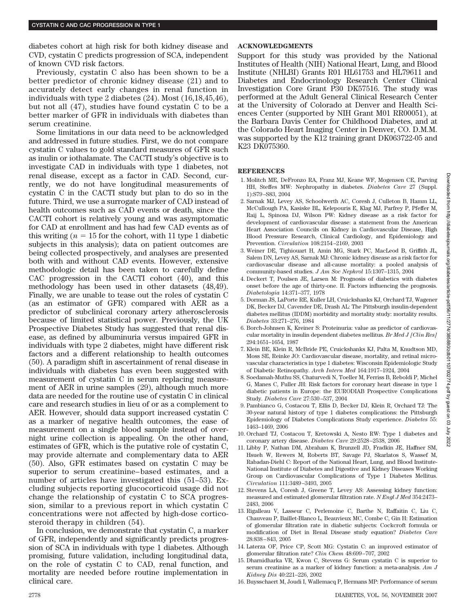diabetes cohort at high risk for both kidney disease and CVD, cystatin C predicts progression of SCA, independent of known CVD risk factors.

Previously, cystatin C also has been shown to be a better predictor of chronic kidney disease (21) and to accurately detect early changes in renal function in individuals with type 2 diabetes (24). Most (16,18,45,46), but not all (47), studies have found cystatin C to be a better marker of GFR in individuals with diabetes than serum creatinine.

Some limitations in our data need to be acknowledged and addressed in future studies. First, we do not compare cystatin C values to gold standard measures of GFR such as inulin or iothalamate. The CACTI study's objective is to investigate CAD in individuals with type 1 diabetes, not renal disease, except as a factor in CAD. Second, currently, we do not have longitudinal measurements of cystatin C in the CACTI study but plan to do so in the future. Third, we use a surrogate marker of CAD instead of health outcomes such as CAD events or death, since the CACTI cohort is relatively young and was asymptomatic for CAD at enrollment and has had few CAD events as of this writing  $(n = 15$  for the cohort, with 11 type 1 diabetic subjects in this analysis); data on patient outcomes are being collected prospectively, and analyses are presented both with and without CAD events. However, extensive methodologic detail has been taken to carefully define CAC progression in the CACTI cohort (40), and this methodology has been used in other datasets (48,49). Finally, we are unable to tease out the roles of cystatin C (as an estimator of GFR) compared with AER as a predictor of subclinical coronary artery atherosclerosis because of limited statistical power. Previously, the UK Prospective Diabetes Study has suggested that renal disease, as defined by albuminuria versus impaired GFR in individuals with type 2 diabetes, might have different risk factors and a different relationship to health outcomes (50). A paradigm shift in ascertainment of renal disease in individuals with diabetes has even been suggested with measurement of cystatin C in serum replacing measurement of AER in urine samples (29), although much more data are needed for the routine use of cystatin C in clinical care and research studies in lieu of or as a complement to AER. However, should data support increased cystatin C as a marker of negative health outcomes, the ease of measurement on a single blood sample instead of overnight urine collection is appealing. On the other hand, estimates of GFR, which is the putative role of cystatin C, may provide alternate and complementary data to AER (50). Also, GFR estimates based on cystatin C may be superior to serum creatinine– based estimates, and a number of articles have investigated this (51–53). Excluding subjects reporting glucocorticoid usage did not change the relationship of cystatin C to SCA progression, similar to a previous report in which cystatin C concentrations were not affected by high-dose corticosteroid therapy in children (54).

In conclusion, we demonstrate that cystatin C, a marker of GFR, independently and significantly predicts progression of SCA in individuals with type 1 diabetes. Although promising, future validation, including longitudinal data, on the role of cystatin C to CAD, renal function, and mortality are needed before routine implementation in clinical care.

# **ACKNOWLEDGMENTS**

Support for this study was provided by the National Institutes of Health (NIH) National Heart, Lung, and Blood Institute (NHLBI) Grants R01 HL61753 and HL79611 and Diabetes and Endocrinology Research Center Clinical Investigation Core Grant P30 DK57516. The study was performed at the Adult General Clinical Research Center at the University of Colorado at Denver and Health Sciences Center (supported by NIH Grant M01 RR00051), at the Barbara Davis Center for Childhood Diabetes, and at the Colorado Heart Imaging Center in Denver, CO. D.M.M. was supported by the K12 training grant DK063722-05 and K23 DK075360.

# **REFERENCES**

- 1. Molitch ME, DeFronzo RA, Franz MJ, Keane WF, Mogensen CE, Parving HH, Steffes MW: Nephropathy in diabetes. *Diabetes Care* 27 (Suppl. 1):S79 –S83, 2004
- 2. Sarnak MJ, Levey AS, Schoolwerth AC, Coresh J, Culleton B, Hamm LL, McCullough PA, Kasiske BL, Kelepouris E, Klag MJ, Parfrey P, Pfeffer M, Raij L, Spinosa DJ, Wilson PW: Kidney disease as a risk factor for development of cardiovascular disease: a statement from the American Heart Association Councils on Kidney in Cardiovascular Disease, High Blood Pressure Research, Clinical Cardiology, and Epidemiology and Prevention. *Circulation* 108:2154 –2169, 2003
- 3. Weiner DE, Tighiouart H, Amin MG, Stark PC, MacLeod B, Griffith JL, Salem DN, Levey AS, Sarnak MJ: Chronic kidney disease as a risk factor for cardiovascular disease and all-cause mortality: a pooled analysis of community-based studies. *J Am Soc Nephrol* 15:1307–1315, 2004
- 4. Deckert T, Poulsen JE, Larsen M: Prognosis of diabetics with diabetes onset before the age of thirty-one. II. Factors influencing the prognosis. *Diabetologia* 14:371–377, 1978
- 5. Dorman JS, LaPorte RE, Kuller LH, Cruickshanks KJ, Orchard TJ, Wagener DK, Becker DJ, Cavender DE, Drash AL: The Pittsburgh insulin-dependent diabetes mellitus (IDDM) morbidity and mortality study: mortality results. *Diabetes* 33:271–276, 1984
- 6. Borch-Johnsen K, Kreiner S: Proteinuria: value as predictor of cardiovascular mortality in insulin dependent diabetes mellitus. *Br Med J [Clin Res]* 294:1651–1654, 1987
- 7. Klein BE, Klein R, McBride PE, Cruickshanks KJ, Palta M, Knudtson MD, Moss SE, Reinke JO: Cardiovascular disease, mortality, and retinal microvascular characteristics in type 1 diabetes: Wisconsin Epidemiologic Study of Diabetic Retinopathy. *Arch Intern Med* 164:1917–1924, 2004
- 8. Soedamah-Muthu SS, Chaturvedi N, Toeller M, Ferriss B, Reboldi P, Michel G, Manes C, Fuller JH: Risk factors for coronary heart disease in type 1 diabetic patients in Europe: the EURODIAB Prospective Complications Study. *Diabetes Care* 27:530 –537, 2004
- 9. Pambianco G, Costacou T, Ellis D, Becker DJ, Klein R, Orchard TJ: The 30-year natural history of type 1 diabetes complications: the Pittsburgh Epidemiology of Diabetes Complications Study experience. *Diabetes* 55: 1463–1469, 2006
- 10. Orchard TJ, Costacou T, Kretowski A, Nesto RW: Type 1 diabetes and coronary artery disease. *Diabetes Care* 29:2528 –2538, 2006
- 11. Libby P, Nathan DM, Abraham K, Brunzell JD, Fradkin JE, Haffner SM, Hsueh W, Rewers M, Roberts BT, Savage PJ, Skarlatos S, Wassef M, Rabadan-Diehl C: Report of the National Heart, Lung, and Blood Institute-National Institute of Diabetes and Digestive and Kidney Diseases Working Group on Cardiovascular Complications of Type 1 Diabetes Mellitus. *Circulation* 111:3489 –3493, 2005
- 12. Stevens LA, Coresh J, Greene T, Levey AS: Assessing kidney function: measured and estimated glomerular filtration rate. *N Engl J Med* 354:2473– 2483, 2006
- 13. Rigalleau V, Lasseur C, Perlemoine C, Barthe N, Raffaitin C, Liu C, Chauveau P, Baillet-Blanco L, Beauvieux MC, Combe C, Gin H: Estimation of glomerular filtration rate in diabetic subjects: Cockcroft formula or modification of Diet in Renal Disease study equation? *Diabetes Care* 28:838 – 843, 2005
- 14. Laterza OF, Price CP, Scott MG: Cystatin C: an improved estimator of glomerular filtration rate? *Clin Chem* 48:699 –707, 2002
- 15. Dharnidharka VR, Kwon C, Stevens G: Serum cystatin C is superior to serum creatinine as a marker of kidney function: a meta-analysis. *Am J Kidney Dis* 40:221–226, 2002
- 16. Buysschaert M, Joudi I, Wallemacq P, Hermans MP: Performance of serum